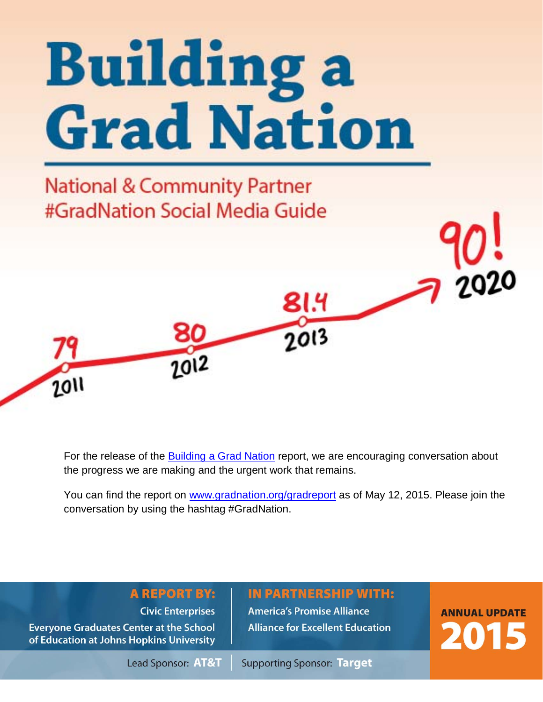

**National & Community Partner** #GradNation Social Media Guide

 $7012$ 



81.4

 $2013$ 

You can find the report on www.gradnation.org/gradreport as of May 12, 2015. Please join the conversation by using the hashtag #GradNation.

# **A REPORT BY:**

**Civic Enterprises** 

**Everyone Graduates Center at the School** of Education at Johns Hopkins University

 $7011$ 

**America's Promise Alliance Alliance for Excellent Education** 

**IN PARTNERSHIP WITH:** 

**ANNUAL UPDATE** 2015

Lead Sponsor: AT&T

**Supporting Sponsor: Target**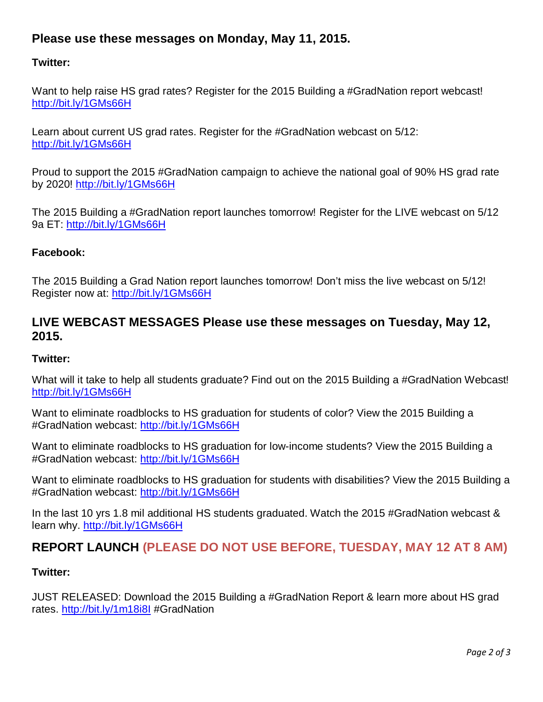# **Please use these messages on Monday, May 11, 2015.**

### **Twitter:**

Want to help raise HS grad rates? Register for the 2015 Building a #GradNation report webcast! http://bit.ly/1GMs66H

Learn about current US grad rates. Register for the #GradNation webcast on 5/12: http://bit.ly/1GMs66H

Proud to support the 2015 #GradNation campaign to achieve the national goal of 90% HS grad rate by 2020! http://bit.ly/1GMs66H

The 2015 Building a #GradNation report launches tomorrow! Register for the LIVE webcast on 5/12 9a ET: http://bit.ly/1GMs66H

#### **Facebook:**

The 2015 Building a Grad Nation report launches tomorrow! Don't miss the live webcast on 5/12! Register now at: http://bit.ly/1GMs66H

## **LIVE WEBCAST MESSAGES Please use these messages on Tuesday, May 12, 2015.**

#### **Twitter:**

What will it take to help all students graduate? Find out on the 2015 Building a #GradNation Webcast! http://bit.ly/1GMs66H

Want to eliminate roadblocks to HS graduation for students of color? View the 2015 Building a #GradNation webcast: http://bit.ly/1GMs66H

Want to eliminate roadblocks to HS graduation for low-income students? View the 2015 Building a #GradNation webcast: http://bit.ly/1GMs66H

Want to eliminate roadblocks to HS graduation for students with disabilities? View the 2015 Building a #GradNation webcast: http://bit.ly/1GMs66H

In the last 10 yrs 1.8 mil additional HS students graduated. Watch the 2015 #GradNation webcast & learn why. http://bit.ly/1GMs66H

# **REPORT LAUNCH (PLEASE DO NOT USE BEFORE, TUESDAY, MAY 12 AT 8 AM)**

#### **Twitter:**

JUST RELEASED: Download the 2015 Building a #GradNation Report & learn more about HS grad rates. http://bit.ly/1m18i8l #GradNation